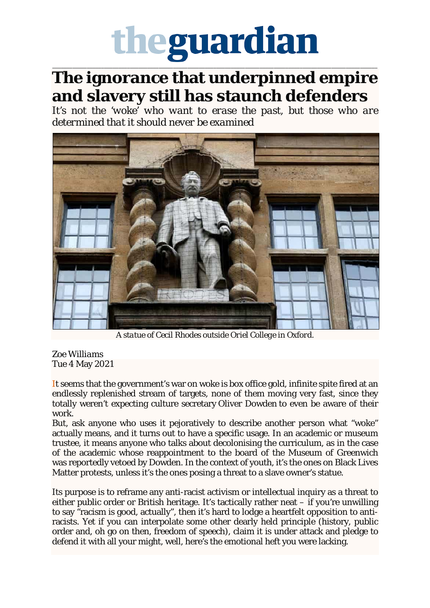## theguardian

\_\_\_\_\_\_\_\_\_\_\_\_\_\_\_\_\_\_\_\_\_\_\_\_\_\_\_\_\_\_\_\_\_\_\_\_\_\_\_\_\_\_\_\_\_\_\_\_\_\_\_\_\_\_\_\_\_\_\_\_\_\_\_\_\_\_\_\_\_\_\_\_\_\_\_\_\_\_\_\_\_\_\_\_\_\_\_\_\_\_\_\_\_\_\_\_\_\_\_\_\_\_\_\_\_\_\_\_\_\_\_\_\_

## **The ignorance that underpinned empire and slavery still has staunch defenders**

*It's not the 'woke' who want to erase the past, but those who are determined that it should never be examined*



*A statue of Cecil Rhodes outside Oriel College in Oxford.*

## *Zoe Williams* Tue 4 May 2021

It seems that the government's war on woke is box office gold, infinite spite fired at an endlessly replenished stream of targets, none of them moving very fast, since they totally weren't expecting culture secretary Oliver Dowden to even be aware of their work.

But, ask anyone who uses it pejoratively to describe another person what "woke" actually means, and it turns out to have a specific usage. In an academic or museum trustee, it means anyone who talks about decolonising the curriculum, as in the case of the academic whose reappointment to the board of the Museum of Greenwich was reportedly vetoed by Dowden. In the context of youth, it's the ones on Black Lives Matter protests, unless it's the ones posing a threat to a slave owner's statue.

Its purpose is to reframe any anti-racist activism or intellectual inquiry as a threat to either public order or British heritage. It's tactically rather neat – if you're unwilling to say "racism is good, actually", then it's hard to lodge a heartfelt opposition to antiracists. Yet if you can interpolate some other dearly held principle (history, public order and, oh go on then, freedom of speech), claim it is under attack and pledge to defend it with all your might, well, here's the emotional heft you were lacking.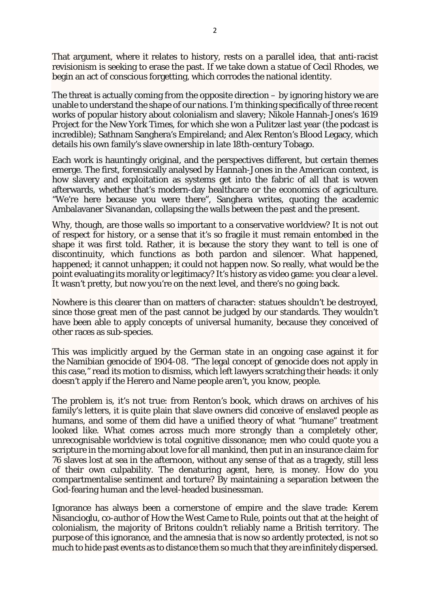That argument, where it relates to history, rests on a parallel idea, that anti-racist revisionism is seeking to erase the past. If we take down a statue of Cecil Rhodes, we begin an act of conscious forgetting, which corrodes the national identity.

The threat is actually coming from the opposite direction  $-$  by ignoring history we are unable to understand the shape of our nations. I'm thinking specifically of three recent works of popular history about colonialism and slavery; Nikole Hannah-Jones's 1619 Project for the New York Times, for which she won a Pulitzer last year (the podcast is incredible); Sathnam Sanghera's Empireland; and Alex Renton's Blood Legacy, which details his own family's slave ownership in late 18th-century Tobago.

Each work is hauntingly original, and the perspectives different, but certain themes emerge. The first, forensically analysed by Hannah-Jones in the American context, is how slavery and exploitation as systems get into the fabric of all that is woven afterwards, whether that's modern-day healthcare or the economics of agriculture. "We're here because you were there", Sanghera writes, quoting the academic Ambalavaner Sivanandan, collapsing the walls between the past and the present.

Why, though, are those walls so important to a conservative worldview? It is not out of respect for history, or a sense that it's so fragile it must remain entombed in the shape it was first told. Rather, it is because the story they want to tell is one of discontinuity, which functions as both pardon and silencer. What happened, happened; it cannot unhappen; it could not happen now. So really, what would be the point evaluating its morality or legitimacy? It's history as video game: you clear a level. It wasn't pretty, but now you're on the next level, and there's no going back.

Nowhere is this clearer than on matters of character: statues shouldn't be destroyed, since those great men of the past cannot be judged by our standards. They wouldn't have been able to apply concepts of universal humanity, because they conceived of other races as sub-species.

This was implicitly argued by the German state in an ongoing case against it for the Namibian genocide of 1904-08. "The legal concept of genocide does not apply in this case," read its motion to dismiss, which left lawyers scratching their heads: it only doesn't apply if the Herero and Name people aren't, you know, *people.*

The problem is, it's not true: from Renton's book, which draws on archives of his family's letters, it is quite plain that slave owners did conceive of enslaved people as humans, and some of them did have a unified theory of what "humane" treatment looked like. What comes across much more strongly than a completely other, unrecognisable worldview is total cognitive dissonance; men who could quote you a scripture in the morning about love for all mankind, then put in an insurance claim for 76 slaves lost at sea in the afternoon, without any sense of that as a tragedy, still less of their own culpability. The denaturing agent, here, is money. How do you compartmentalise sentiment and torture? By maintaining a separation between the God-fearing human and the level-headed businessman.

Ignorance has always been a cornerstone of empire and the slave trade: Kerem Nisancioglu, co-author of How the West Came to Rule, points out that at the height of colonialism, the majority of Britons couldn't reliably name a British territory. The purpose of this ignorance, and the amnesia that is now so ardently protected, is not so much to hide past events as to distance them so much that they are infinitely dispersed.